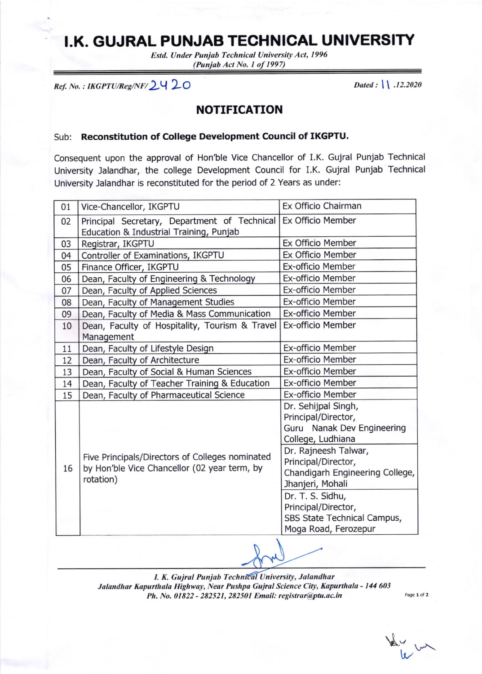## I.K. GUJRAL PUNJAB TECHNICAL UNIVERSITY

Estd. Under Punjab Technical University Act, 1996 (Punjab Act No. I of 1997)

 $Ref. No. : IKGPTU/Reg/NF / 2420$  Dated : ll .12.2020

## NOTIFICATION

## Sub: Reconstitution of College Development Council of IKGPTU.

Consequent upon the approval of Hon'ble Vice Chancellor of LK. Gujral Punjab Technical University Jalandhar, the college Development Council for I.K. Gujral Punjab Technical University Jalandhar is reconstituted for the period of 2 Years as under:

| Vice-Chancellor, IKGPTU                                                                                      | Ex Officio Chairman             |
|--------------------------------------------------------------------------------------------------------------|---------------------------------|
|                                                                                                              |                                 |
| Principal Secretary, Department of Technical                                                                 | Ex Officio Member               |
| Education & Industrial Training, Punjab                                                                      |                                 |
| Registrar, IKGPTU                                                                                            | Ex Officio Member               |
| Controller of Examinations, IKGPTU                                                                           | Ex Officio Member               |
| Finance Officer, IKGPTU                                                                                      | Ex-officio Member               |
| Dean, Faculty of Engineering & Technology                                                                    | Ex-officio Member               |
| Dean, Faculty of Applied Sciences                                                                            | Ex-officio Member               |
| Dean, Faculty of Management Studies                                                                          | Ex-officio Member               |
| Dean, Faculty of Media & Mass Communication                                                                  | Ex-officio Member               |
| Dean, Faculty of Hospitality, Tourism & Travel                                                               | Ex-officio Member               |
| Management                                                                                                   |                                 |
| Dean, Faculty of Lifestyle Design                                                                            | Ex-officio Member               |
| Dean, Faculty of Architecture                                                                                | Ex-officio Member               |
| Dean, Faculty of Social & Human Sciences                                                                     | Ex-officio Member               |
| Dean, Faculty of Teacher Training & Education                                                                | Ex-officio Member               |
| Dean, Faculty of Pharmaceutical Science                                                                      | Ex-officio Member               |
|                                                                                                              | Dr. Sehijpal Singh,             |
|                                                                                                              | Principal/Director,             |
|                                                                                                              | Guru Nanak Dev Engineering      |
| Five Principals/Directors of Colleges nominated<br>by Hon'ble Vice Chancellor (02 year term, by<br>rotation) | College, Ludhiana               |
|                                                                                                              | Dr. Rajneesh Talwar,            |
|                                                                                                              | Principal/Director,             |
|                                                                                                              | Chandigarh Engineering College, |
|                                                                                                              | Jhanjeri, Mohali                |
|                                                                                                              | Dr. T. S. Sidhu,                |
|                                                                                                              | Principal/Director,             |
|                                                                                                              | SBS State Technical Campus,     |
|                                                                                                              | Moga Road, Ferozepur            |
|                                                                                                              |                                 |

I. K. Gujral Punjab Technical University, Jalandhar Jalandhar Kapurthala Highway, Near Pushpa Gujral Science City, Kapurthala - 144 603 Ph. No. 01822 - 282521, 282501 Email: registrar@ptu.ac.in

Page 1 of 2

 $\frac{1}{k}$  in